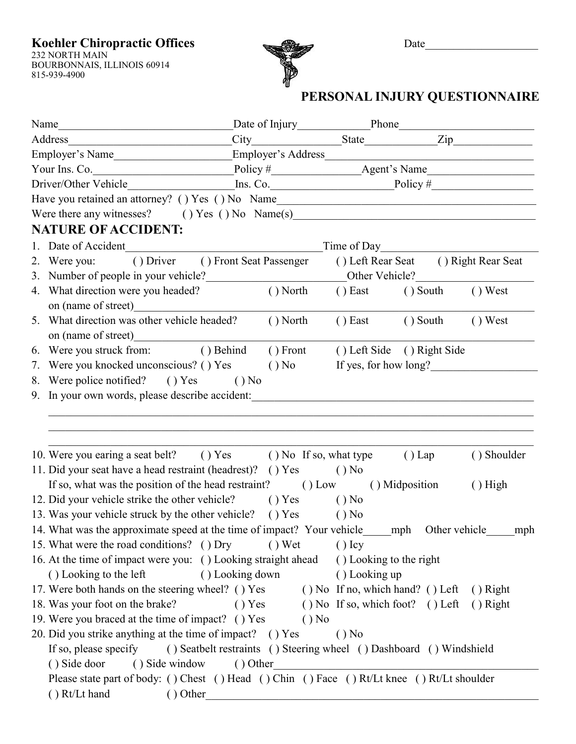**Koehler Chiropractic Offices** Date\_\_\_\_\_\_\_\_\_\_\_\_\_\_\_\_\_\_\_\_

232 NORTH MAIN BOURBONNAIS, ILLINOIS 60914 815-939-4900



## **PERSONAL INJURY QUESTIONNAIRE**

| Name                                                                                                                               | Date of Injury Phone Phone                                          |                                  |                                      |             |
|------------------------------------------------------------------------------------------------------------------------------------|---------------------------------------------------------------------|----------------------------------|--------------------------------------|-------------|
|                                                                                                                                    | City State Zip                                                      |                                  |                                      |             |
| Employer's Name________________________Employer's Address________________________                                                  |                                                                     |                                  |                                      |             |
|                                                                                                                                    |                                                                     |                                  |                                      |             |
| Driver/Other Vehicle                                                                                                               | $Ins. Co.$ Policy #                                                 |                                  |                                      |             |
|                                                                                                                                    |                                                                     |                                  |                                      |             |
| Were there any witnesses? () Yes () No Name(s) __________________________________                                                  |                                                                     |                                  |                                      |             |
| <b>NATURE OF ACCIDENT:</b>                                                                                                         |                                                                     |                                  |                                      |             |
| 1. Date of Accident                                                                                                                |                                                                     | Time of Day                      |                                      |             |
| 2. Were you: () Driver () Front Seat Passenger                                                                                     |                                                                     |                                  | () Left Rear Seat () Right Rear Seat |             |
|                                                                                                                                    |                                                                     |                                  |                                      |             |
| 4. What direction were you headed?                                                                                                 | $()$ North $()$ East                                                |                                  | () South () West                     |             |
| 5. What direction was other vehicle headed? () North                                                                               |                                                                     |                                  | $()$ East $()$ South                 | $()$ West   |
| 6. Were you struck from: () Behind () Front () Left Side () Right Side                                                             |                                                                     |                                  |                                      |             |
| Were you knocked unconscious? () Yes<br>7.                                                                                         |                                                                     | $( )$ No If yes, for how long?   |                                      |             |
| 8. Were police notified? () Yes () No                                                                                              |                                                                     |                                  |                                      |             |
|                                                                                                                                    |                                                                     |                                  |                                      |             |
| 10. Were you earing a seat belt? () Yes () No If so, what type<br>11. Did your seat have a head restraint (headrest)? () Yes () No |                                                                     |                                  | $()$ Lap                             | () Shoulder |
| If so, what was the position of the head restraint? (b) Low (b) Midposition                                                        |                                                                     |                                  |                                      | $()$ High   |
| 12. Did your vehicle strike the other vehicle? (1) Yes (1) No                                                                      |                                                                     |                                  |                                      |             |
| 13. Was your vehicle struck by the other vehicle? () Yes () No                                                                     |                                                                     |                                  |                                      |             |
| 14. What was the approximate speed at the time of impact? Your vehicle                                                             |                                                                     |                                  | mph Other vehicle                    | mph         |
| 15. What were the road conditions? () Dry                                                                                          | $()$ Wet                                                            | $()$ Icy                         |                                      |             |
| 16. At the time of impact were you: () Looking straight ahead                                                                      |                                                                     | () Looking to the right          |                                      |             |
| () Looking to the left                                                                                                             | () Looking down                                                     | () Looking up                    |                                      |             |
| 17. Were both hands on the steering wheel? () Yes                                                                                  |                                                                     | () No If no, which hand? () Left |                                      | $()$ Right  |
| 18. Was your foot on the brake?                                                                                                    | () Yes                                                              | () No If so, which foot? () Left |                                      | $()$ Right  |
| 19. Were you braced at the time of impact? () Yes                                                                                  | $()$ No                                                             |                                  |                                      |             |
| 20. Did you strike anything at the time of impact? () Yes                                                                          |                                                                     | $()$ No                          |                                      |             |
| If so, please specify                                                                                                              | () Seatbelt restraints () Steering wheel () Dashboard () Windshield |                                  |                                      |             |
| () Side door<br>() Side window                                                                                                     | () Other                                                            |                                  |                                      |             |
| Please state part of body: () Chest () Head () Chin () Face () Rt/Lt knee () Rt/Lt shoulder                                        |                                                                     |                                  |                                      |             |
| $()$ Rt/Lt hand<br>() Other                                                                                                        |                                                                     |                                  |                                      |             |